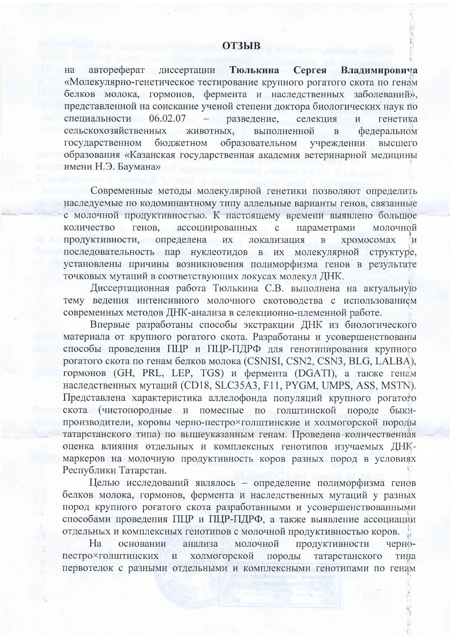## **ОТЗЫВ**

автореферат диссертации Тюлькина на Сергея Владимировича «Молекулярно-генетическое тестирование крупного рогатого скота по генам белков молока, гормонов, фермента и наследственных заболеваний», представленной на соискание ученой степени доктора биологических наук по специальности 06.02.07 разведение. селекция генетика  $\overline{M}$ сельскохозяйственных ЖИВОТНЫХ. выполненной федеральном  $\overline{B}$ бюджетном образовательном государственном учреждении высшего образования «Казанская государственная академия ветеринарной медицины имени Н.Э. Баумана»

Современные методы молекулярной генетики позволяют определить наследуемые по кодоминантному типу аллельные варианты генов, связанные с молочной продуктивностью. К настоящему времени выявлено большое количество генов, ассоциированных параметрами молочной  $\mathbf{C}$ продуктивности, определена хромосомах **HX** локализация  $\overline{B}$  $\overline{M}$ последовательность пар нуклеотидов в их молекулярной структуре, установлены причины возникновения полиморфизма генов в результате точковых мутаций в соответствующих локусах молекул ДНК.

Диссертационная работа Тюлькина С.В. выполнена на актуальную тему ведения интенсивного молочного скотоводства с использованием современных методов ДНК-анализа в селекционно-племенной работе.

Впервые разработаны способы экстракции ДНК из биологического материала от крупного рогатого скота. Разработаны и усовершенствованы способы проведения ПЦР и ПЦР-ПДРФ для генотипирования крупного рогатого скота по генам белков молока (CSNISI, CSN2, CSN3, BLG, LALBA), гормонов (GH, PRL, LEP, TGS) и фермента (DGATI), а также генам наследственных мутаций (CD18, SLC35A3, F11, PYGM, UMPS, ASS, MSTN). Представлена характеристика аллелофонда популяций крупного рогатото скота (чистопородные и помесные по голштинской породе быкипроизводители, коровы черно-пестро×голштинские и холмогорской породы татарстанского типа) по вышеуказанным генам. Проведена количественная оценка влияния отдельных и комплексных генотипов изучаемых ДНКмаркеров на молочную продуктивность коров разных пород в условиях Республики Татарстан.

Целью исследований являлось - определение полиморфизма генов белков молока, гормонов, фермента и наследственных мутаций у разных пород крупного рогатого скота разработанными и усовершенствованными способами проведения ПЦР и ПЦР-ПДРФ, а также выявление ассоциации отдельных и комплексных генотипов с молочной продуктивностью коров.

Ha основании анализа молочной продуктивности чернопестро×голштинских холмогорской породы татарстанского  $\, {\rm H}$ типа первотелок с разными отдельными и комплексными генотипами по генам